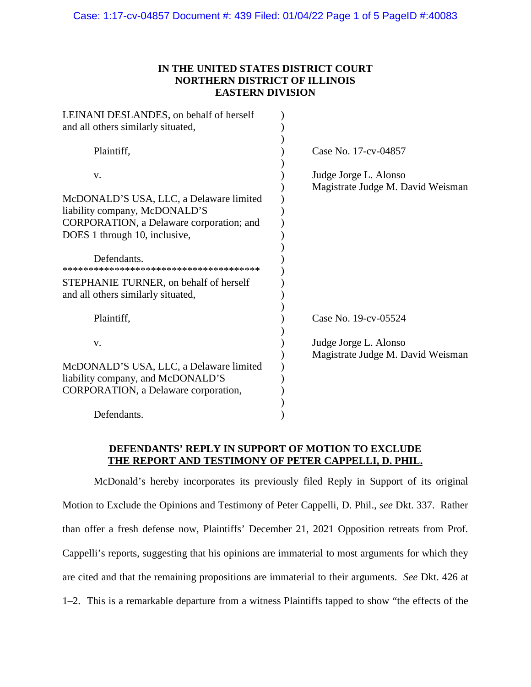# **IN THE UNITED STATES DISTRICT COURT NORTHERN DISTRICT OF ILLINOIS EASTERN DIVISION**

| LEINANI DESLANDES, on behalf of herself<br>and all others similarly situated, |                                                            |
|-------------------------------------------------------------------------------|------------------------------------------------------------|
| Plaintiff,                                                                    | Case No. 17-cv-04857                                       |
| V.<br>McDONALD'S USA, LLC, a Delaware limited                                 | Judge Jorge L. Alonso<br>Magistrate Judge M. David Weisman |
| liability company, McDONALD'S<br>CORPORATION, a Delaware corporation; and     |                                                            |
| DOES 1 through 10, inclusive,                                                 |                                                            |
| Defendants.                                                                   |                                                            |
| STEPHANIE TURNER, on behalf of herself<br>and all others similarly situated,  |                                                            |
| Plaintiff,                                                                    | Case No. 19-cv-05524                                       |
| V.                                                                            | Judge Jorge L. Alonso<br>Magistrate Judge M. David Weisman |
| McDONALD'S USA, LLC, a Delaware limited                                       |                                                            |
| liability company, and McDONALD'S                                             |                                                            |
| CORPORATION, a Delaware corporation,                                          |                                                            |
| Defendants.                                                                   |                                                            |

## **DEFENDANTS' REPLY IN SUPPORT OF MOTION TO EXCLUDE THE REPORT AND TESTIMONY OF PETER CAPPELLI, D. PHIL.**

McDonald's hereby incorporates its previously filed Reply in Support of its original Motion to Exclude the Opinions and Testimony of Peter Cappelli, D. Phil., *see* Dkt. 337. Rather than offer a fresh defense now, Plaintiffs' December 21, 2021 Opposition retreats from Prof. Cappelli's reports, suggesting that his opinions are immaterial to most arguments for which they are cited and that the remaining propositions are immaterial to their arguments. *See* Dkt. 426 at 1–2. This is a remarkable departure from a witness Plaintiffs tapped to show "the effects of the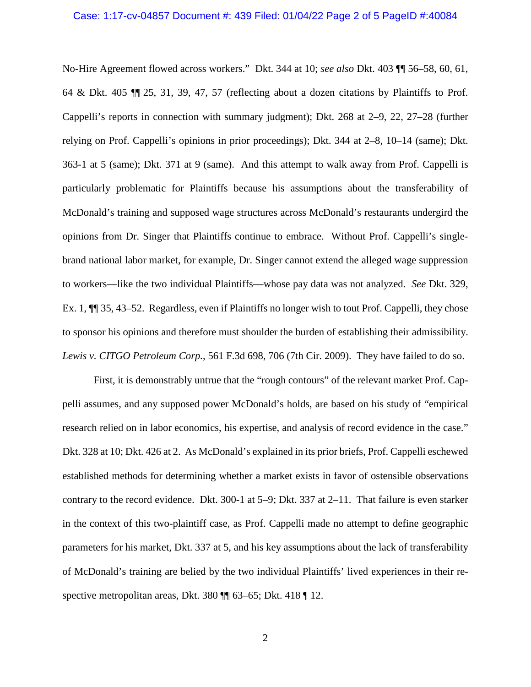#### Case: 1:17-cv-04857 Document #: 439 Filed: 01/04/22 Page 2 of 5 PageID #:40084

No-Hire Agreement flowed across workers." Dkt. 344 at 10; *see also* Dkt. 403 ¶¶ 56–58, 60, 61, 64 & Dkt. 405 ¶¶ 25, 31, 39, 47, 57 (reflecting about a dozen citations by Plaintiffs to Prof. Cappelli's reports in connection with summary judgment); Dkt. 268 at 2–9, 22, 27–28 (further relying on Prof. Cappelli's opinions in prior proceedings); Dkt. 344 at 2–8, 10–14 (same); Dkt. 363-1 at 5 (same); Dkt. 371 at 9 (same). And this attempt to walk away from Prof. Cappelli is particularly problematic for Plaintiffs because his assumptions about the transferability of McDonald's training and supposed wage structures across McDonald's restaurants undergird the opinions from Dr. Singer that Plaintiffs continue to embrace. Without Prof. Cappelli's singlebrand national labor market, for example, Dr. Singer cannot extend the alleged wage suppression to workers—like the two individual Plaintiffs—whose pay data was not analyzed. *See* Dkt. 329, Ex. 1, ¶¶ 35, 43–52. Regardless, even if Plaintiffs no longer wish to tout Prof. Cappelli, they chose to sponsor his opinions and therefore must shoulder the burden of establishing their admissibility. *Lewis v. CITGO Petroleum Corp.*, 561 F.3d 698, 706 (7th Cir. 2009). They have failed to do so.

First, it is demonstrably untrue that the "rough contours" of the relevant market Prof. Cappelli assumes, and any supposed power McDonald's holds, are based on his study of "empirical research relied on in labor economics, his expertise, and analysis of record evidence in the case." Dkt. 328 at 10; Dkt. 426 at 2. As McDonald's explained in its prior briefs, Prof. Cappelli eschewed established methods for determining whether a market exists in favor of ostensible observations contrary to the record evidence. Dkt. 300-1 at 5–9; Dkt. 337 at 2–11. That failure is even starker in the context of this two-plaintiff case, as Prof. Cappelli made no attempt to define geographic parameters for his market, Dkt. 337 at 5, and his key assumptions about the lack of transferability of McDonald's training are belied by the two individual Plaintiffs' lived experiences in their respective metropolitan areas, Dkt. 380 ¶ 63–65; Dkt. 418 ¶ 12.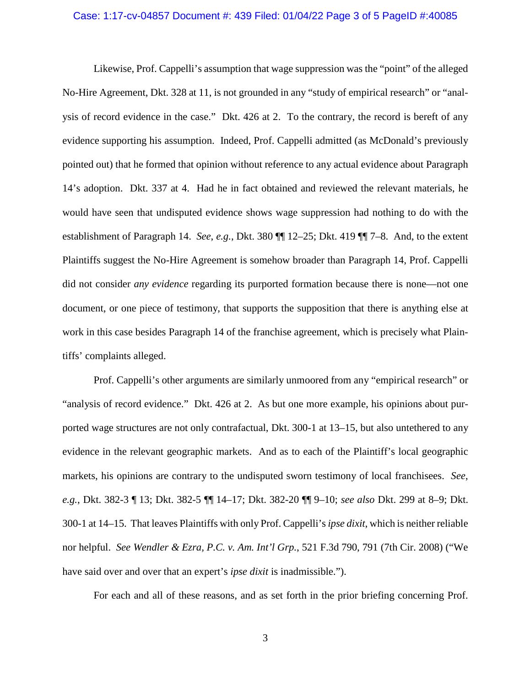#### Case: 1:17-cv-04857 Document #: 439 Filed: 01/04/22 Page 3 of 5 PageID #:40085

Likewise, Prof. Cappelli's assumption that wage suppression was the "point" of the alleged No-Hire Agreement, Dkt. 328 at 11, is not grounded in any "study of empirical research" or "analysis of record evidence in the case." Dkt. 426 at 2. To the contrary, the record is bereft of any evidence supporting his assumption. Indeed, Prof. Cappelli admitted (as McDonald's previously pointed out) that he formed that opinion without reference to any actual evidence about Paragraph 14's adoption. Dkt. 337 at 4. Had he in fact obtained and reviewed the relevant materials, he would have seen that undisputed evidence shows wage suppression had nothing to do with the establishment of Paragraph 14. *See*, *e.g.*, Dkt. 380 ¶¶ 12–25; Dkt. 419 ¶¶ 7–8. And, to the extent Plaintiffs suggest the No-Hire Agreement is somehow broader than Paragraph 14, Prof. Cappelli did not consider *any evidence* regarding its purported formation because there is none—not one document, or one piece of testimony, that supports the supposition that there is anything else at work in this case besides Paragraph 14 of the franchise agreement, which is precisely what Plaintiffs' complaints alleged.

Prof. Cappelli's other arguments are similarly unmoored from any "empirical research" or "analysis of record evidence." Dkt. 426 at 2. As but one more example, his opinions about purported wage structures are not only contrafactual, Dkt. 300-1 at 13–15, but also untethered to any evidence in the relevant geographic markets. And as to each of the Plaintiff's local geographic markets, his opinions are contrary to the undisputed sworn testimony of local franchisees. *See*, *e.g.*, Dkt. 382-3 ¶ 13; Dkt. 382-5 ¶¶ 14–17; Dkt. 382-20 ¶¶ 9–10; *see also* Dkt. 299 at 8–9; Dkt. 300-1 at 14–15. That leaves Plaintiffs with only Prof. Cappelli's *ipse dixit*, which is neither reliable nor helpful. *See Wendler & Ezra, P.C. v. Am. Int'l Grp.*, 521 F.3d 790, 791 (7th Cir. 2008) ("We have said over and over that an expert's *ipse dixit* is inadmissible.").

For each and all of these reasons, and as set forth in the prior briefing concerning Prof.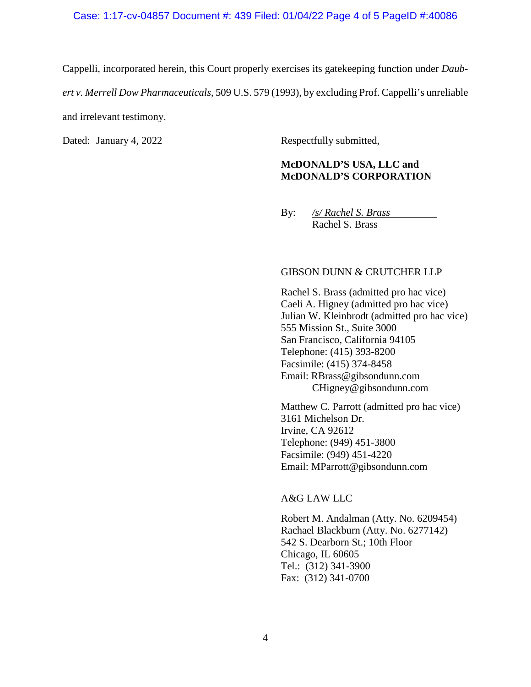#### Case: 1:17-cv-04857 Document #: 439 Filed: 01/04/22 Page 4 of 5 PageID #:40086

Cappelli, incorporated herein, this Court properly exercises its gatekeeping function under *Daubert v. Merrell Dow Pharmaceuticals*, 509 U.S. 579 (1993), by excluding Prof. Cappelli's unreliable and irrelevant testimony.

Dated: January 4, 2022 Respectfully submitted,

# **McDONALD'S USA, LLC and McDONALD'S CORPORATION**

By: */s/ Rachel S. Brass* Rachel S. Brass

### GIBSON DUNN & CRUTCHER LLP

Rachel S. Brass (admitted pro hac vice) Caeli A. Higney (admitted pro hac vice) Julian W. Kleinbrodt (admitted pro hac vice) 555 Mission St., Suite 3000 San Francisco, California 94105 Telephone: (415) 393-8200 Facsimile: (415) 374-8458 Email: RBrass@gibsondunn.com CHigney@gibsondunn.com

Matthew C. Parrott (admitted pro hac vice) 3161 Michelson Dr. Irvine, CA 92612 Telephone: (949) 451-3800 Facsimile: (949) 451-4220 Email: MParrott@gibsondunn.com

### A&G LAW LLC

Robert M. Andalman (Atty. No. 6209454) Rachael Blackburn (Atty. No. 6277142) 542 S. Dearborn St.; 10th Floor Chicago, IL 60605 Tel.: (312) 341-3900 Fax: (312) 341-0700